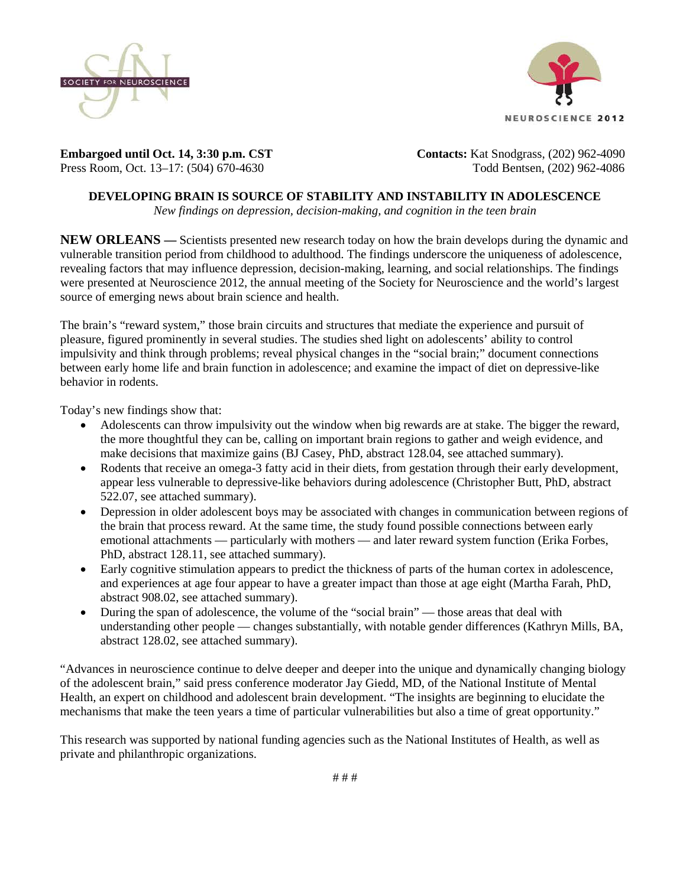



**Embargoed until Oct. 14, 3:30 p.m. CST Contacts: Kat Snodgrass**, (202) 962-4090 Press Room, Oct. 13–17: (504) 670-4630Todd Bentsen, (202) 962-4086

# **DEVELOPING BRAIN IS SOURCE OF STABILITY AND INSTABILITY IN ADOLESCENCE**

*New findings on depression, decision-making, and cognition in the teen brain*

**NEW ORLEANS —** Scientists presented new research today on how the brain develops during the dynamic and vulnerable transition period from childhood to adulthood. The findings underscore the uniqueness of adolescence, revealing factors that may influence depression, decision-making, learning, and social relationships. The findings were presented at Neuroscience 2012, the annual meeting of the Society for Neuroscience and the world's largest source of emerging news about brain science and health.

The brain's "reward system," those brain circuits and structures that mediate the experience and pursuit of pleasure, figured prominently in several studies. The studies shed light on adolescents' ability to control impulsivity and think through problems; reveal physical changes in the "social brain;" document connections between early home life and brain function in adolescence; and examine the impact of diet on depressive-like behavior in rodents.

Today's new findings show that:

- Adolescents can throw impulsivity out the window when big rewards are at stake. The bigger the reward, the more thoughtful they can be, calling on important brain regions to gather and weigh evidence, and make decisions that maximize gains (BJ Casey, PhD, abstract 128.04, see attached summary).
- Rodents that receive an omega-3 fatty acid in their diets, from gestation through their early development, appear less vulnerable to depressive-like behaviors during adolescence (Christopher Butt, PhD, abstract 522.07, see attached summary).
- Depression in older adolescent boys may be associated with changes in communication between regions of the brain that process reward. At the same time, the study found possible connections between early emotional attachments — particularly with mothers — and later reward system function (Erika Forbes, PhD, abstract 128.11, see attached summary).
- Early cognitive stimulation appears to predict the thickness of parts of the human cortex in adolescence, and experiences at age four appear to have a greater impact than those at age eight (Martha Farah, PhD, abstract 908.02, see attached summary).
- During the span of adolescence, the volume of the "social brain" those areas that deal with understanding other people — changes substantially, with notable gender differences (Kathryn Mills, BA, abstract 128.02, see attached summary).

"Advances in neuroscience continue to delve deeper and deeper into the unique and dynamically changing biology of the adolescent brain," said press conference moderator Jay Giedd, MD, of the National Institute of Mental Health, an expert on childhood and adolescent brain development. "The insights are beginning to elucidate the mechanisms that make the teen years a time of particular vulnerabilities but also a time of great opportunity."

This research was supported by national funding agencies such as the National Institutes of Health, as well as private and philanthropic organizations.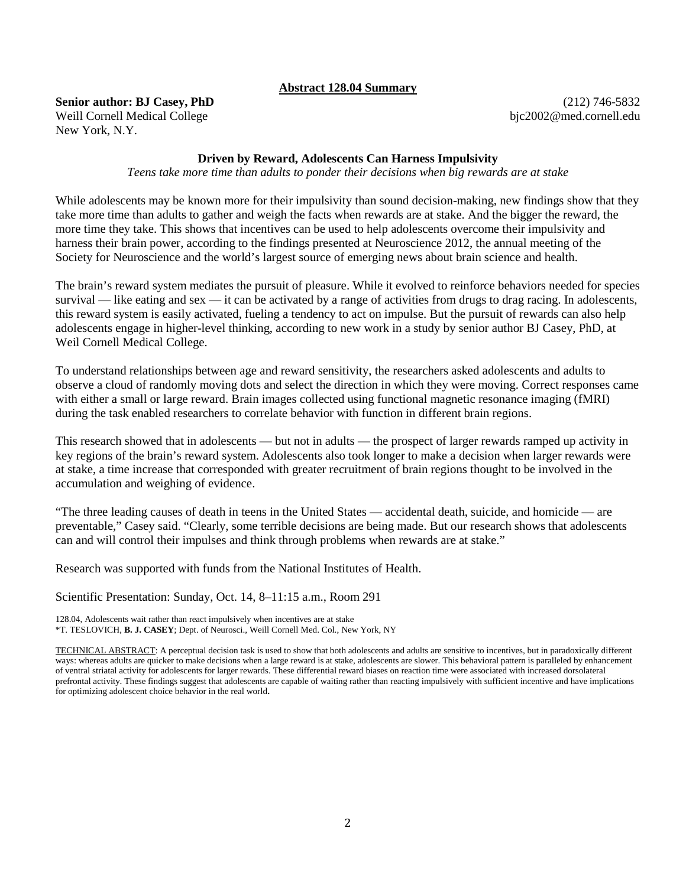### **Abstract 128.04 Summary**

**Senior author: BJ Casey, PhD** Weill Cornell Medical College New York, N.Y.

(212) 746-5832 bjc2002@med.cornell.edu

## **Driven by Reward, Adolescents Can Harness Impulsivity**

*Teens take more time than adults to ponder their decisions when big rewards are at stake*

While adolescents may be known more for their impulsivity than sound decision-making, new findings show that they take more time than adults to gather and weigh the facts when rewards are at stake. And the bigger the reward, the more time they take. This shows that incentives can be used to help adolescents overcome their impulsivity and harness their brain power, according to the findings presented at Neuroscience 2012, the annual meeting of the Society for Neuroscience and the world's largest source of emerging news about brain science and health.

The brain's reward system mediates the pursuit of pleasure. While it evolved to reinforce behaviors needed for species survival — like eating and sex — it can be activated by a range of activities from drugs to drag racing. In adolescents, this reward system is easily activated, fueling a tendency to act on impulse. But the pursuit of rewards can also help adolescents engage in higher-level thinking, according to new work in a study by senior author BJ Casey, PhD, at Weil Cornell Medical College.

To understand relationships between age and reward sensitivity, the researchers asked adolescents and adults to observe a cloud of randomly moving dots and select the direction in which they were moving. Correct responses came with either a small or large reward. Brain images collected using functional magnetic resonance imaging (fMRI) during the task enabled researchers to correlate behavior with function in different brain regions.

This research showed that in adolescents — but not in adults — the prospect of larger rewards ramped up activity in key regions of the brain's reward system. Adolescents also took longer to make a decision when larger rewards were at stake, a time increase that corresponded with greater recruitment of brain regions thought to be involved in the accumulation and weighing of evidence.

"The three leading causes of death in teens in the United States — accidental death, suicide, and homicide — are preventable," Casey said. "Clearly, some terrible decisions are being made. But our research shows that adolescents can and will control their impulses and think through problems when rewards are at stake."

Research was supported with funds from the National Institutes of Health.

Scientific Presentation: Sunday, Oct. 14, 8–11:15 a.m., Room 291

128.04, Adolescents wait rather than react impulsively when incentives are at stake \*T. TESLOVICH, **B. J. CASEY**; Dept. of Neurosci., Weill Cornell Med. Col., New York, NY

TECHNICAL ABSTRACT: A perceptual decision task is used to show that both adolescents and adults are sensitive to incentives, but in paradoxically different ways: whereas adults are quicker to make decisions when a large reward is at stake, adolescents are slower. This behavioral pattern is paralleled by enhancement of ventral striatal activity for adolescents for larger rewards. These differential reward biases on reaction time were associated with increased dorsolateral prefrontal activity. These findings suggest that adolescents are capable of waiting rather than reacting impulsively with sufficient incentive and have implications for optimizing adolescent choice behavior in the real world**.**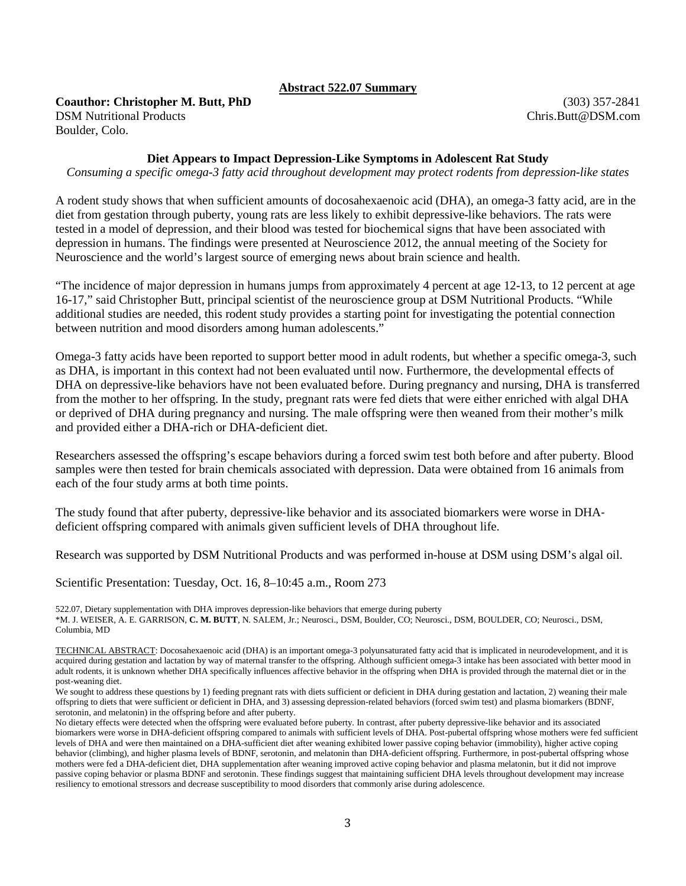## **Abstract 522.07 Summary**

### **Coauthor: Christopher M. Butt, PhD** DSM Nutritional Products Boulder, Colo.

(303) 357-2841 Chris.Butt@DSM.com

# **Diet Appears to Impact Depression-Like Symptoms in Adolescent Rat Study**

*Consuming a specific omega-3 fatty acid throughout development may protect rodents from depression-like states*

A rodent study shows that when sufficient amounts of docosahexaenoic acid (DHA), an omega-3 fatty acid, are in the diet from gestation through puberty, young rats are less likely to exhibit depressive-like behaviors. The rats were tested in a model of depression, and their blood was tested for biochemical signs that have been associated with depression in humans. The findings were presented at Neuroscience 2012, the annual meeting of the Society for Neuroscience and the world's largest source of emerging news about brain science and health.

"The incidence of major depression in humans jumps from approximately 4 percent at age 12-13, to 12 percent at age 16-17," said Christopher Butt, principal scientist of the neuroscience group at DSM Nutritional Products. "While additional studies are needed, this rodent study provides a starting point for investigating the potential connection between nutrition and mood disorders among human adolescents."

Omega-3 fatty acids have been reported to support better mood in adult rodents, but whether a specific omega-3, such as DHA, is important in this context had not been evaluated until now. Furthermore, the developmental effects of DHA on depressive-like behaviors have not been evaluated before. During pregnancy and nursing, DHA is transferred from the mother to her offspring. In the study, pregnant rats were fed diets that were either enriched with algal DHA or deprived of DHA during pregnancy and nursing. The male offspring were then weaned from their mother's milk and provided either a DHA-rich or DHA-deficient diet.

Researchers assessed the offspring's escape behaviors during a forced swim test both before and after puberty. Blood samples were then tested for brain chemicals associated with depression. Data were obtained from 16 animals from each of the four study arms at both time points.

The study found that after puberty, depressive-like behavior and its associated biomarkers were worse in DHA– deficient offspring compared with animals given sufficient levels of DHA throughout life.

Research was supported by DSM Nutritional Products and was performed in-house at DSM using DSM's algal oil.

Scientific Presentation: Tuesday, Oct. 16, 8–10:45 a.m., Room 273

522.07, Dietary supplementation with DHA improves depression-like behaviors that emerge during puberty \*M. J. WEISER, A. E. GARRISON, **C. M. BUTT**, N. SALEM, Jr.; Neurosci., DSM, Boulder, CO; Neurosci., DSM, BOULDER, CO; Neurosci., DSM,

Columbia, MD

We sought to address these questions by 1) feeding pregnant rats with diets sufficient or deficient in DHA during gestation and lactation, 2) weaning their male offspring to diets that were sufficient or deficient in DHA, and 3) assessing depression-related behaviors (forced swim test) and plasma biomarkers (BDNF, serotonin, and melatonin) in the offspring before and after puberty.

TECHNICAL ABSTRACT: Docosahexaenoic acid (DHA) is an important omega-3 polyunsaturated fatty acid that is implicated in neurodevelopment, and it is acquired during gestation and lactation by way of maternal transfer to the offspring. Although sufficient omega-3 intake has been associated with better mood in adult rodents, it is unknown whether DHA specifically influences affective behavior in the offspring when DHA is provided through the maternal diet or in the post-weaning diet.

No dietary effects were detected when the offspring were evaluated before puberty. In contrast, after puberty depressive-like behavior and its associated biomarkers were worse in DHA-deficient offspring compared to animals with sufficient levels of DHA. Post-pubertal offspring whose mothers were fed sufficient levels of DHA and were then maintained on a DHA-sufficient diet after weaning exhibited lower passive coping behavior (immobility), higher active coping behavior (climbing), and higher plasma levels of BDNF, serotonin, and melatonin than DHA-deficient offspring. Furthermore, in post-pubertal offspring whose mothers were fed a DHA-deficient diet, DHA supplementation after weaning improved active coping behavior and plasma melatonin, but it did not improve passive coping behavior or plasma BDNF and serotonin. These findings suggest that maintaining sufficient DHA levels throughout development may increase resiliency to emotional stressors and decrease susceptibility to mood disorders that commonly arise during adolescence.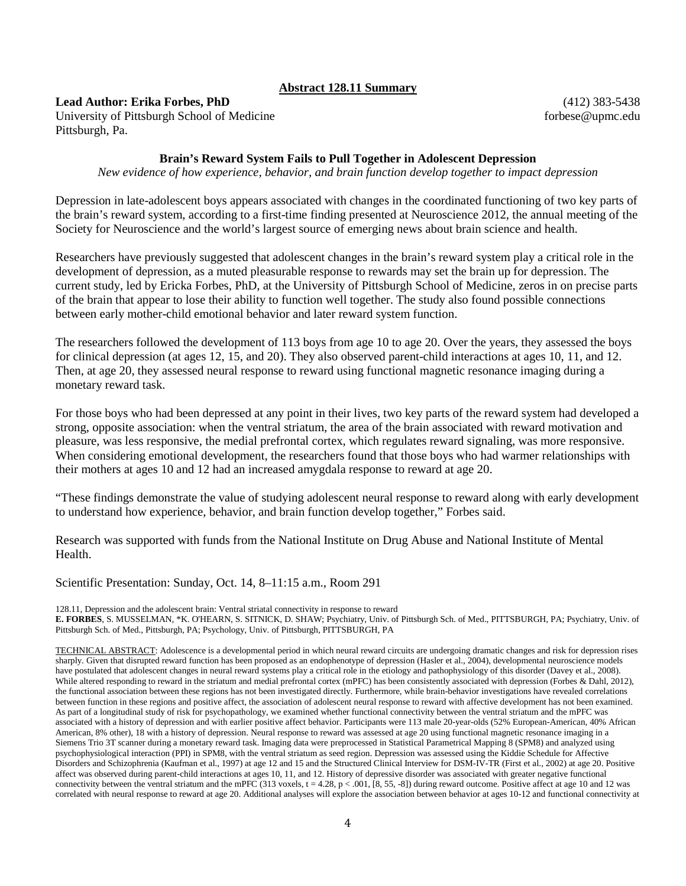# **Abstract 128.11 Summary**

## **Lead Author: Erika Forbes, PhD**

University of Pittsburgh School of Medicine Pittsburgh, Pa.

(412) 383-5438 forbese@upmc.edu

## **Brain's Reward System Fails to Pull Together in Adolescent Depression**

*New evidence of how experience, behavior, and brain function develop together to impact depression*

Depression in late-adolescent boys appears associated with changes in the coordinated functioning of two key parts of the brain's reward system, according to a first-time finding presented at Neuroscience 2012, the annual meeting of the Society for Neuroscience and the world's largest source of emerging news about brain science and health.

Researchers have previously suggested that adolescent changes in the brain's reward system play a critical role in the development of depression, as a muted pleasurable response to rewards may set the brain up for depression. The current study, led by Ericka Forbes, PhD, at the University of Pittsburgh School of Medicine, zeros in on precise parts of the brain that appear to lose their ability to function well together. The study also found possible connections between early mother-child emotional behavior and later reward system function.

The researchers followed the development of 113 boys from age 10 to age 20. Over the years, they assessed the boys for clinical depression (at ages 12, 15, and 20). They also observed parent-child interactions at ages 10, 11, and 12. Then, at age 20, they assessed neural response to reward using functional magnetic resonance imaging during a monetary reward task.

For those boys who had been depressed at any point in their lives, two key parts of the reward system had developed a strong, opposite association: when the ventral striatum, the area of the brain associated with reward motivation and pleasure, was less responsive, the medial prefrontal cortex, which regulates reward signaling, was more responsive. When considering emotional development, the researchers found that those boys who had warmer relationships with their mothers at ages 10 and 12 had an increased amygdala response to reward at age 20.

"These findings demonstrate the value of studying adolescent neural response to reward along with early development to understand how experience, behavior, and brain function develop together," Forbes said.

Research was supported with funds from the National Institute on Drug Abuse and National Institute of Mental Health.

Scientific Presentation: Sunday, Oct. 14, 8–11:15 a.m., Room 291

128.11, Depression and the adolescent brain: Ventral striatal connectivity in response to reward

**E. FORBES**, S. MUSSELMAN, \*K. O'HEARN, S. SITNICK, D. SHAW; Psychiatry, Univ. of Pittsburgh Sch. of Med., PITTSBURGH, PA; Psychiatry, Univ. of Pittsburgh Sch. of Med., Pittsburgh, PA; Psychology, Univ. of Pittsburgh, PITTSBURGH, PA

TECHNICAL ABSTRACT: Adolescence is a developmental period in which neural reward circuits are undergoing dramatic changes and risk for depression rises sharply. Given that disrupted reward function has been proposed as an endophenotype of depression (Hasler et al., 2004), developmental neuroscience models have postulated that adolescent changes in neural reward systems play a critical role in the etiology and pathophysiology of this disorder (Davey et al., 2008). While altered responding to reward in the striatum and medial prefrontal cortex (mPFC) has been consistently associated with depression (Forbes & Dahl, 2012), the functional association between these regions has not been investigated directly. Furthermore, while brain-behavior investigations have revealed correlations between function in these regions and positive affect, the association of adolescent neural response to reward with affective development has not been examined. As part of a longitudinal study of risk for psychopathology, we examined whether functional connectivity between the ventral striatum and the mPFC was associated with a history of depression and with earlier positive affect behavior. Participants were 113 male 20-year-olds (52% European-American, 40% African American, 8% other), 18 with a history of depression. Neural response to reward was assessed at age 20 using functional magnetic resonance imaging in a Siemens Trio 3T scanner during a monetary reward task. Imaging data were preprocessed in Statistical Parametrical Mapping 8 (SPM8) and analyzed using psychophysiological interaction (PPI) in SPM8, with the ventral striatum as seed region. Depression was assessed using the Kiddie Schedule for Affective Disorders and Schizophrenia (Kaufman et al., 1997) at age 12 and 15 and the Structured Clinical Interview for DSM-IV-TR (First et al., 2002) at age 20. Positive affect was observed during parent-child interactions at ages 10, 11, and 12. History of depressive disorder was associated with greater negative functional connectivity between the ventral striatum and the mPFC (313 voxels,  $t = 4.28$ ,  $p < .001$ , [8, 55, -8]) during reward outcome. Positive affect at age 10 and 12 was correlated with neural response to reward at age 20. Additional analyses will explore the association between behavior at ages 10-12 and functional connectivity at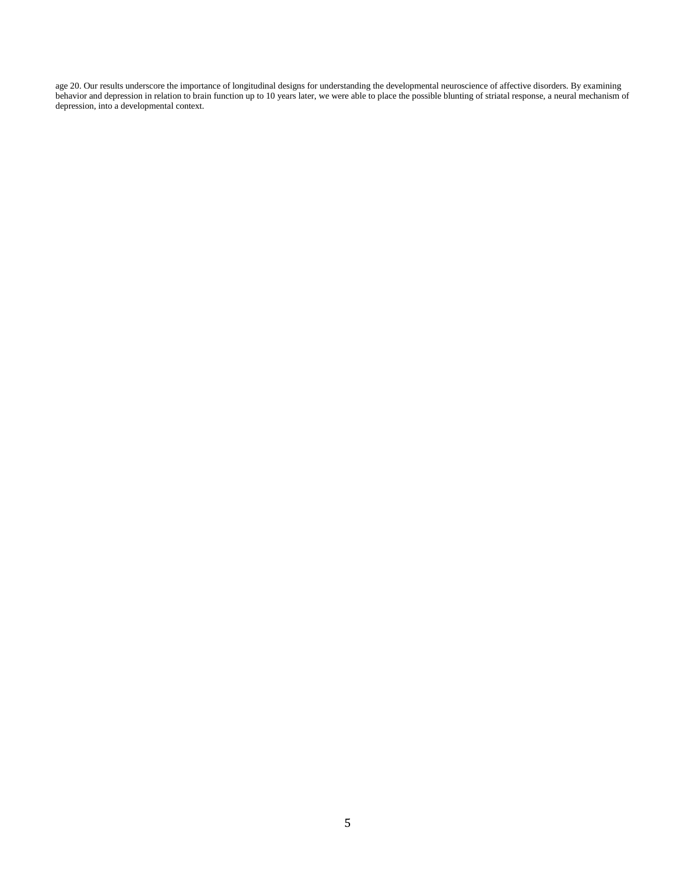age 20. Our results underscore the importance of longitudinal designs for understanding the developmental neuroscience of affective disorders. By examining behavior and depression in relation to brain function up to 10 years later, we were able to place the possible blunting of striatal response, a neural mechanism of depression, into a developmental context.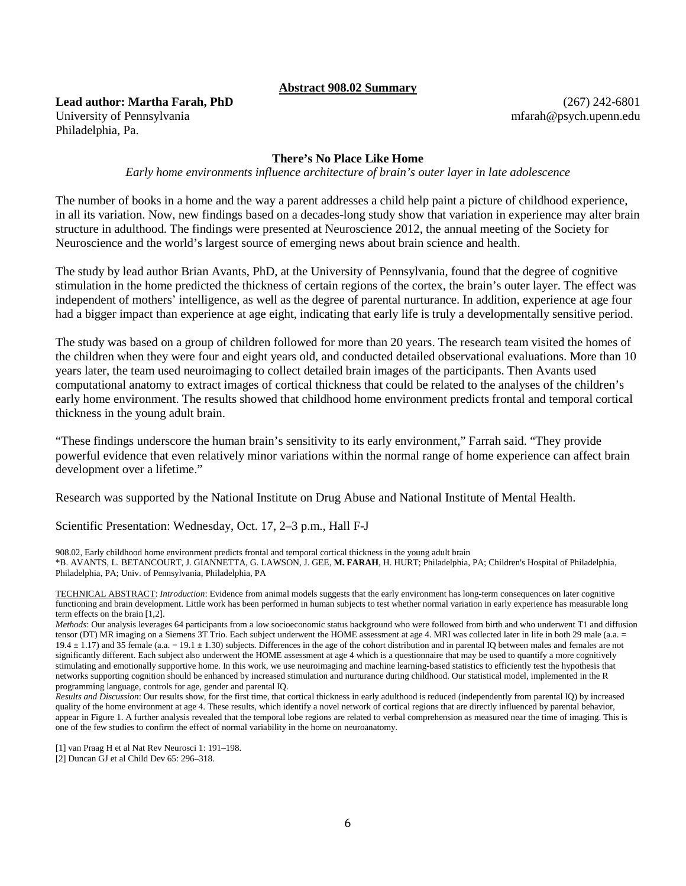#### **Abstract 908.02 Summary**

**Lead author: Martha Farah, PhD** University of Pennsylvania Philadelphia, Pa.

(267) 242-6801 mfarah@psych.upenn.edu

#### **There's No Place Like Home**

*Early home environments influence architecture of brain's outer layer in late adolescence*

The number of books in a home and the way a parent addresses a child help paint a picture of childhood experience, in all its variation. Now, new findings based on a decades-long study show that variation in experience may alter brain structure in adulthood. The findings were presented at Neuroscience 2012, the annual meeting of the Society for Neuroscience and the world's largest source of emerging news about brain science and health.

The study by lead author Brian Avants, PhD, at the University of Pennsylvania, found that the degree of cognitive stimulation in the home predicted the thickness of certain regions of the cortex, the brain's outer layer. The effect was independent of mothers' intelligence, as well as the degree of parental nurturance. In addition, experience at age four had a bigger impact than experience at age eight, indicating that early life is truly a developmentally sensitive period.

The study was based on a group of children followed for more than 20 years. The research team visited the homes of the children when they were four and eight years old, and conducted detailed observational evaluations. More than 10 years later, the team used neuroimaging to collect detailed brain images of the participants. Then Avants used computational anatomy to extract images of cortical thickness that could be related to the analyses of the children's early home environment. The results showed that childhood home environment predicts frontal and temporal cortical thickness in the young adult brain.

"These findings underscore the human brain's sensitivity to its early environment," Farrah said. "They provide powerful evidence that even relatively minor variations within the normal range of home experience can affect brain development over a lifetime."

Research was supported by the National Institute on Drug Abuse and National Institute of Mental Health.

Scientific Presentation: Wednesday, Oct. 17, 2–3 p.m., Hall F-J

908.02, Early childhood home environment predicts frontal and temporal cortical thickness in the young adult brain \*B. AVANTS, L. BETANCOURT, J. GIANNETTA, G. LAWSON, J. GEE, **M. FARAH**, H. HURT; Philadelphia, PA; Children's Hospital of Philadelphia, Philadelphia, PA; Univ. of Pennsylvania, Philadelphia, PA

TECHNICAL ABSTRACT: *Introduction*: Evidence from animal models suggests that the early environment has long-term consequences on later cognitive functioning and brain development. Little work has been performed in human subjects to test whether normal variation in early experience has measurable long term effects on the brain [1,2].

*Methods*: Our analysis leverages 64 participants from a low socioeconomic status background who were followed from birth and who underwent T1 and diffusion tensor (DT) MR imaging on a Siemens 3T Trio. Each subject underwent the HOME assessment at age 4. MRI was collected later in life in both 29 male (a.a. =  $19.4 \pm 1.17$ ) and 35 female (a.a. = 19.1  $\pm$  1.30) subjects. Differences in the age of the cohort distribution and in parental IQ between males and females are not significantly different. Each subject also underwent the HOME assessment at age 4 which is a questionnaire that may be used to quantify a more cognitively stimulating and emotionally supportive home. In this work, we use neuroimaging and machine learning-based statistics to efficiently test the hypothesis that networks supporting cognition should be enhanced by increased stimulation and nurturance during childhood. Our statistical model, implemented in the R programming language, controls for age, gender and parental IQ.

*Results and Discussion*: Our results show, for the first time, that cortical thickness in early adulthood is reduced (independently from parental IQ) by increased quality of the home environment at age 4. These results, which identify a novel network of cortical regions that are directly influenced by parental behavior, appear in Figure 1. A further analysis revealed that the temporal lobe regions are related to verbal comprehension as measured near the time of imaging. This is one of the few studies to confirm the effect of normal variability in the home on neuroanatomy.

<sup>[1]</sup> van Praag H et al Nat Rev Neurosci 1: 191–198.

<sup>[2]</sup> Duncan GJ et al Child Dev 65: 296–318.